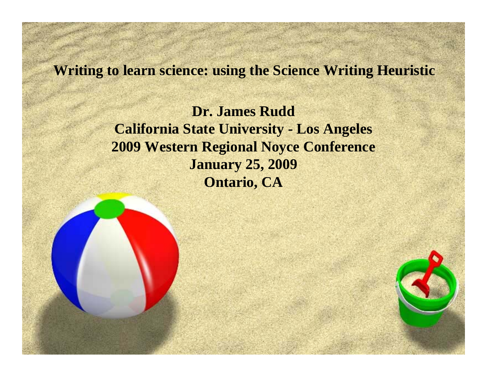#### **Writing to learn science: using the Science Writing Heuristic**

**Dr. James RuddCalifornia State University - Los Angeles 2009 Western Regional Noyce Conference January 25, 2009 Ontario, CA**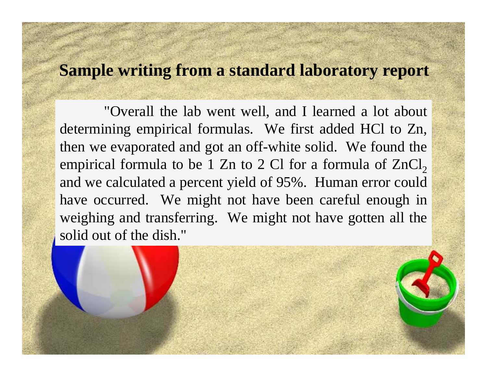#### **Sample writing from a standard laboratory report**

"Overall the lab went well, and I learned a lot about determining empirical formulas. We first added HCl to Zn, then we evaporated and got an off-white solid. We found the empirical formula to be 1 Zn to 2 Cl for a formula of  $\rm ZnCl_{2}$ and we calculated a percent yield of 95%. Human error could have occurred. We might not have been careful enough in weighing and transferring. We might not have gotten all the solid out of the dish."

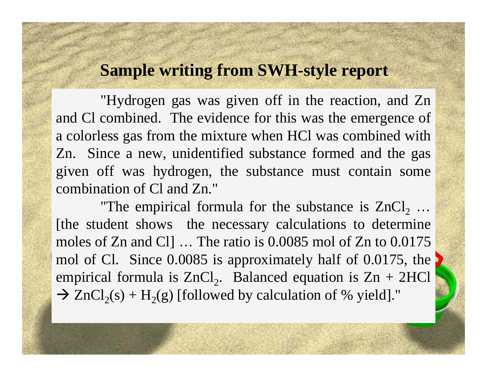### **Sample writing from SWH-style report**

"Hydrogen gas was given off in the reaction, and Zn and Cl combined. The evidence for this was the emergence of a colorless gas from the mixture when HCl was combined with Zn. Since a new, unidentified substance formed and the gas given off was hydrogen, the substance must contain some combination of Cl and Zn."

"The empirical formula for the substance is  $ZnCl_2$ ... [the student shows the necessary calculations to determine moles of Zn and Cl] … The ratio is 0.0085 mol of Zn to 0.0175 mol of Cl. Since 0.0085 is approximately half of 0.0175, the empirical formula is  $ZnCl_2$ . Balanced equation is  $Zn + 2HCl$  $\rightarrow$  ZnCl<sub>2</sub>(s) + H<sub>2</sub>(g) [followed by calculation of % yield]."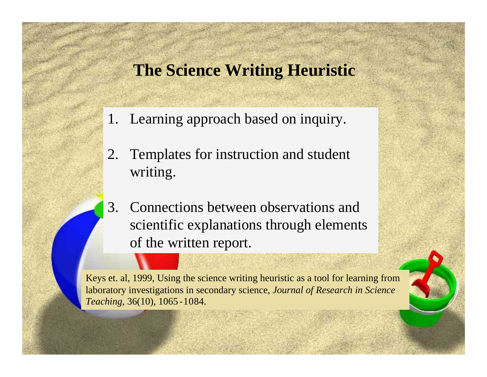### **The Science Writing Heuristic**

- 1. Learning approach based on inquiry.
- 2. Templates for instruction and student writing.
- 3. Connections between observations and scientific explanations through elements of the written report.

Keys et. al, 1999, Using the science writing heuristic as a tool for learning from laboratory investigations in secondary science, *Journal of Research in Science Teaching,* 36(10), 1065 -1084.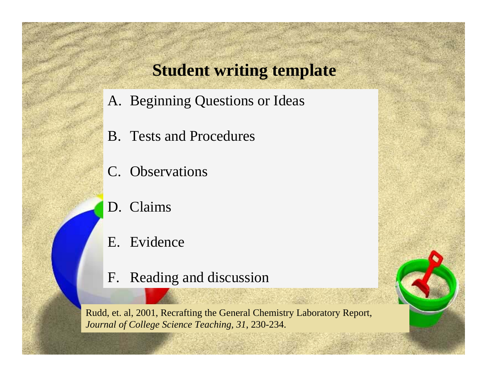### **Student writing template**

- A. Beginning Questions or Ideas
- B. Tests and Procedures
- C. Observations
- D. Claims
- E. Evidence
- F. Reading and discussion

Rudd, et. al, 2001, Recrafting the General Chemistry Laboratory Report, *Journal of College Science Teaching, 31*, 230-234.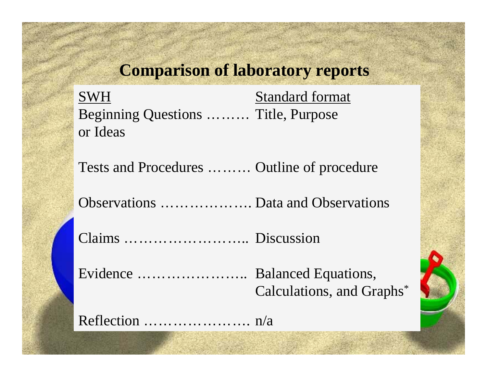### **Comparison of laboratory reports**

**SWH**  Standard format Beginning Questions ……… Title, Purpose or Ideas

Tests and Procedures ……… Outline of procedure

Observations ………………. Data and Observations

Claims …………………….. Discussion

Evidence ………………….. Balanced Equations, Calculations, and Graphs \*

Reflection …………………. n/a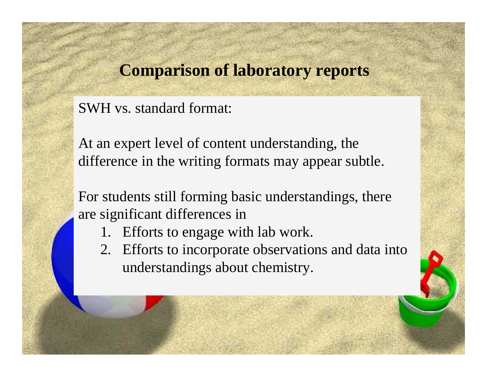### **Comparison of laboratory reports**

SWH vs. standard format:

At an expert level of content understanding, the difference in the writing formats may appear subtle.

For students still forming basic understandings, there are significant differences in

- 1. Efforts to engage with lab work.
- 2. Efforts to incorporate observations and data into understandings about chemistry.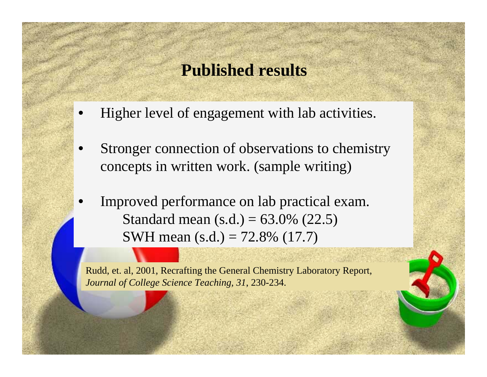### **Published results**

- •Higher level of engagement with lab activities.
- • Stronger connection of observations to chemistry concepts in written work. (sample writing)
- • Improved performance on lab practical exam. Standard mean (s.d.) =  $63.0\%$  (22.5) SWH mean (s.d.) = 72.8% (17.7)

Rudd, et. al, 2001, Recrafting the General Chemistry Laboratory Report, *Journal of College Science Teaching, 31*, 230-234.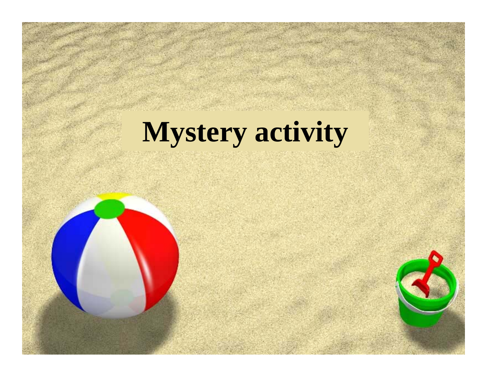# **Mystery activity**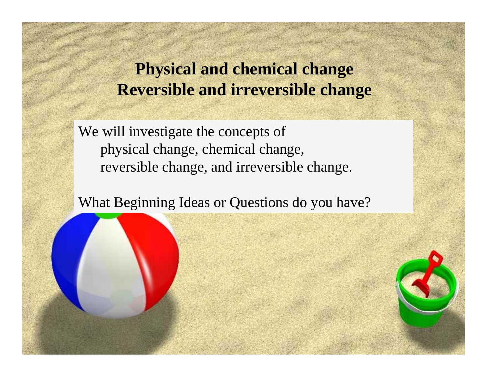## **Physical and chemical change Reversible and irreversible change**

We will investigate the concepts of physical change, chemical change, reversible change, and irreversible change.

What Beginning Ideas or Questions do you have?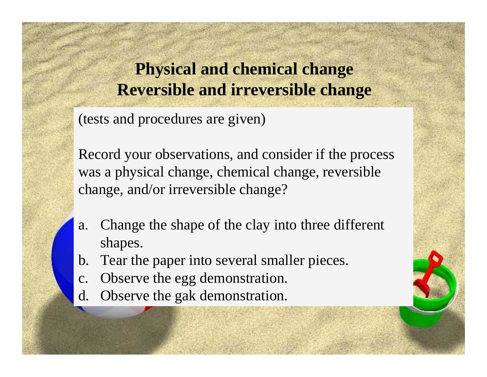# **Physical and chemical change Reversible and irreversible change**

(tests and procedures are given)

Record your observations, and consider if the process was a physical change, chemical change, reversible change, and/or irreversible change?

- a. Change the shape of the clay into three different shapes.
- b. Tear the paper into several smaller pieces.
- c. Observe the egg demonstration.
- d. Observe the gak demonstration.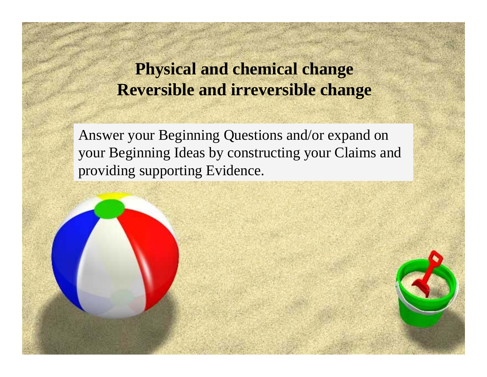# **Physical and chemical change Reversible and irreversible change**

Answer your Beginning Questions and/or expand on your Beginning Ideas by constructing your Claims and providing supporting Evidence.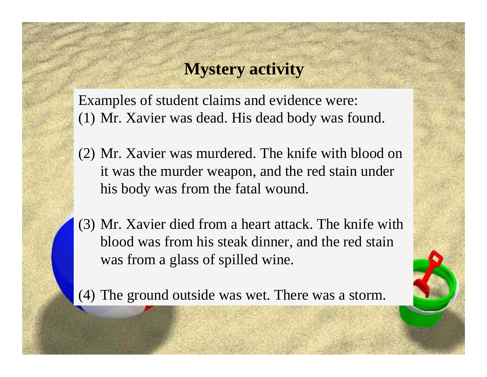#### **Mystery activity**

Examples of student claims and evidence were: (1) Mr. Xavier was dead. His dead body was found.

- (2) Mr. Xavier was murdered. The knife with blood on it was the murder weapon, and the red stain under his body was from the fatal wound.
- (3) Mr. Xavier died from a heart attack. The knife with blood was from his steak dinner, and the red stain was from a glass of spilled wine.

(4) The ground outside was wet. There was a storm.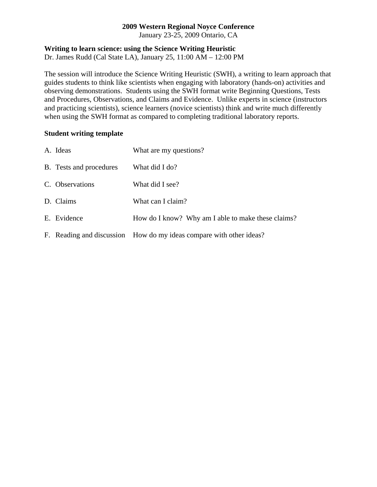#### **2009 Western Regional Noyce Conference**

January 23-25, 2009 Ontario, CA

#### **Writing to learn science: using the Science Writing Heuristic**

Dr. James Rudd (Cal State LA), January 25, 11:00 AM – 12:00 PM

The session will introduce the Science Writing Heuristic (SWH), a writing to learn approach that guides students to think like scientists when engaging with laboratory (hands-on) activities and observing demonstrations. Students using the SWH format write Beginning Questions, Tests and Procedures, Observations, and Claims and Evidence. Unlike experts in science (instructors and practicing scientists), science learners (novice scientists) think and write much differently when using the SWH format as compared to completing traditional laboratory reports.

#### **Student writing template**

| A. Ideas                | What are my questions?                                              |
|-------------------------|---------------------------------------------------------------------|
| B. Tests and procedures | What did I do?                                                      |
| C. Observations         | What did I see?                                                     |
| D. Claims               | What can I claim?                                                   |
| E. Evidence             | How do I know? Why am I able to make these claims?                  |
|                         | F. Reading and discussion How do my ideas compare with other ideas? |